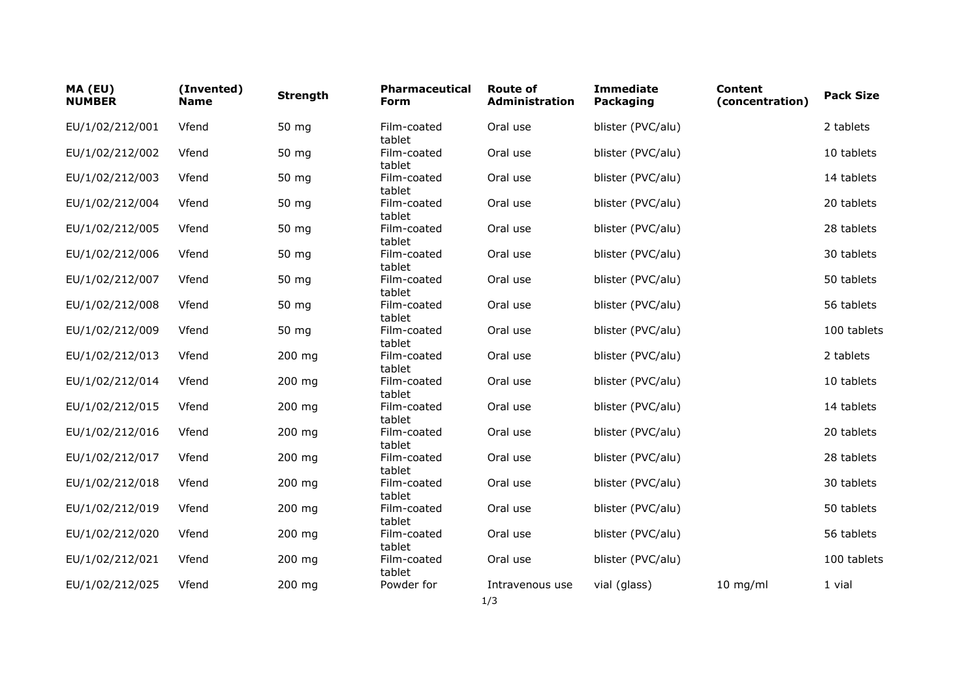| MA (EU)<br><b>NUMBER</b> | (Invented)<br><b>Name</b> | <b>Strength</b> | <b>Pharmaceutical</b><br>Form | <b>Route of</b><br><b>Administration</b> | <b>Immediate</b><br><b>Packaging</b> | <b>Content</b><br>(concentration) | <b>Pack Size</b> |
|--------------------------|---------------------------|-----------------|-------------------------------|------------------------------------------|--------------------------------------|-----------------------------------|------------------|
| EU/1/02/212/001          | Vfend                     | 50 mg           | Film-coated<br>tablet         | Oral use                                 | blister (PVC/alu)                    |                                   | 2 tablets        |
| EU/1/02/212/002          | Vfend                     | 50 mg           | Film-coated<br>tablet         | Oral use                                 | blister (PVC/alu)                    |                                   | 10 tablets       |
| EU/1/02/212/003          | Vfend                     | 50 mg           | Film-coated<br>tablet         | Oral use                                 | blister (PVC/alu)                    |                                   | 14 tablets       |
| EU/1/02/212/004          | Vfend                     | 50 mg           | Film-coated<br>tablet         | Oral use                                 | blister (PVC/alu)                    |                                   | 20 tablets       |
| EU/1/02/212/005          | Vfend                     | 50 mg           | Film-coated<br>tablet         | Oral use                                 | blister (PVC/alu)                    |                                   | 28 tablets       |
| EU/1/02/212/006          | Vfend                     | 50 mg           | Film-coated<br>tablet         | Oral use                                 | blister (PVC/alu)                    |                                   | 30 tablets       |
| EU/1/02/212/007          | Vfend                     | 50 mg           | Film-coated<br>tablet         | Oral use                                 | blister (PVC/alu)                    |                                   | 50 tablets       |
| EU/1/02/212/008          | Vfend                     | 50 mg           | Film-coated<br>tablet         | Oral use                                 | blister (PVC/alu)                    |                                   | 56 tablets       |
| EU/1/02/212/009          | Vfend                     | 50 mg           | Film-coated<br>tablet         | Oral use                                 | blister (PVC/alu)                    |                                   | 100 tablets      |
| EU/1/02/212/013          | Vfend                     | 200 mg          | Film-coated<br>tablet         | Oral use                                 | blister (PVC/alu)                    |                                   | 2 tablets        |
| EU/1/02/212/014          | Vfend                     | 200 mg          | Film-coated<br>tablet         | Oral use                                 | blister (PVC/alu)                    |                                   | 10 tablets       |
| EU/1/02/212/015          | Vfend                     | $200$ mg        | Film-coated<br>tablet         | Oral use                                 | blister (PVC/alu)                    |                                   | 14 tablets       |
| EU/1/02/212/016          | Vfend                     | 200 mg          | Film-coated<br>tablet         | Oral use                                 | blister (PVC/alu)                    |                                   | 20 tablets       |
| EU/1/02/212/017          | Vfend                     | 200 mg          | Film-coated<br>tablet         | Oral use                                 | blister (PVC/alu)                    |                                   | 28 tablets       |
| EU/1/02/212/018          | Vfend                     | 200 mg          | Film-coated<br>tablet         | Oral use                                 | blister (PVC/alu)                    |                                   | 30 tablets       |
| EU/1/02/212/019          | Vfend                     | 200 mg          | Film-coated<br>tablet         | Oral use                                 | blister (PVC/alu)                    |                                   | 50 tablets       |
| EU/1/02/212/020          | Vfend                     | $200$ mg        | Film-coated<br>tablet         | Oral use                                 | blister (PVC/alu)                    |                                   | 56 tablets       |
| EU/1/02/212/021          | Vfend                     | 200 mg          | Film-coated<br>tablet         | Oral use                                 | blister (PVC/alu)                    |                                   | 100 tablets      |
| EU/1/02/212/025          | Vfend                     | 200 mg          | Powder for                    | Intravenous use                          | vial (glass)                         | $10$ mg/ml                        | 1 vial           |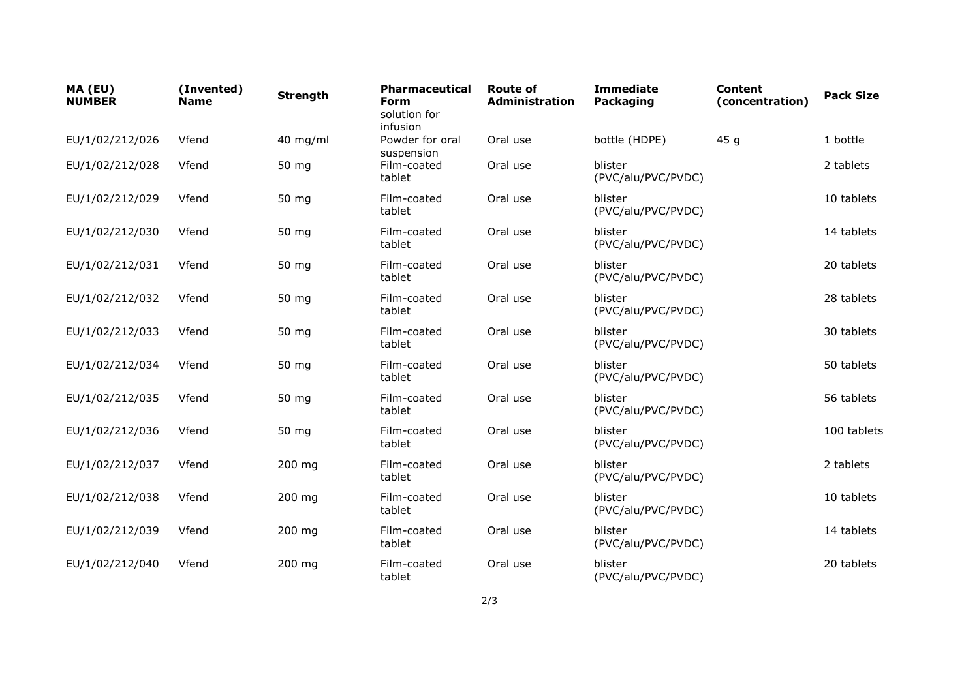| MA (EU)<br><b>NUMBER</b> | (Invented)<br><b>Name</b> | <b>Strength</b> | <b>Pharmaceutical</b><br><b>Form</b><br>solution for<br>infusion | <b>Route of</b><br><b>Administration</b> | <b>Immediate</b><br>Packaging | <b>Content</b><br>(concentration) | <b>Pack Size</b> |
|--------------------------|---------------------------|-----------------|------------------------------------------------------------------|------------------------------------------|-------------------------------|-----------------------------------|------------------|
| EU/1/02/212/026          | Vfend                     | $40$ mg/ml      | Powder for oral<br>suspension                                    | Oral use                                 | bottle (HDPE)                 | 45 <sub>g</sub>                   | 1 bottle         |
| EU/1/02/212/028          | Vfend                     | 50 mg           | Film-coated<br>tablet                                            | Oral use                                 | blister<br>(PVC/alu/PVC/PVDC) |                                   | 2 tablets        |
| EU/1/02/212/029          | Vfend                     | 50 mg           | Film-coated<br>tablet                                            | Oral use                                 | blister<br>(PVC/alu/PVC/PVDC) |                                   | 10 tablets       |
| EU/1/02/212/030          | Vfend                     | 50 mg           | Film-coated<br>tablet                                            | Oral use                                 | blister<br>(PVC/alu/PVC/PVDC) |                                   | 14 tablets       |
| EU/1/02/212/031          | Vfend                     | 50 mg           | Film-coated<br>tablet                                            | Oral use                                 | blister<br>(PVC/alu/PVC/PVDC) |                                   | 20 tablets       |
| EU/1/02/212/032          | Vfend                     | 50 mg           | Film-coated<br>tablet                                            | Oral use                                 | blister<br>(PVC/alu/PVC/PVDC) |                                   | 28 tablets       |
| EU/1/02/212/033          | Vfend                     | 50 mg           | Film-coated<br>tablet                                            | Oral use                                 | blister<br>(PVC/alu/PVC/PVDC) |                                   | 30 tablets       |
| EU/1/02/212/034          | Vfend                     | 50 mg           | Film-coated<br>tablet                                            | Oral use                                 | blister<br>(PVC/alu/PVC/PVDC) |                                   | 50 tablets       |
| EU/1/02/212/035          | Vfend                     | 50 mg           | Film-coated<br>tablet                                            | Oral use                                 | blister<br>(PVC/alu/PVC/PVDC) |                                   | 56 tablets       |
| EU/1/02/212/036          | Vfend                     | 50 mg           | Film-coated<br>tablet                                            | Oral use                                 | blister<br>(PVC/alu/PVC/PVDC) |                                   | 100 tablets      |
| EU/1/02/212/037          | Vfend                     | 200 mg          | Film-coated<br>tablet                                            | Oral use                                 | blister<br>(PVC/alu/PVC/PVDC) |                                   | 2 tablets        |
| EU/1/02/212/038          | Vfend                     | 200 mg          | Film-coated<br>tablet                                            | Oral use                                 | blister<br>(PVC/alu/PVC/PVDC) |                                   | 10 tablets       |
| EU/1/02/212/039          | Vfend                     | 200 mg          | Film-coated<br>tablet                                            | Oral use                                 | blister<br>(PVC/alu/PVC/PVDC) |                                   | 14 tablets       |
| EU/1/02/212/040          | Vfend                     | 200 mg          | Film-coated<br>tablet                                            | Oral use                                 | blister<br>(PVC/alu/PVC/PVDC) |                                   | 20 tablets       |